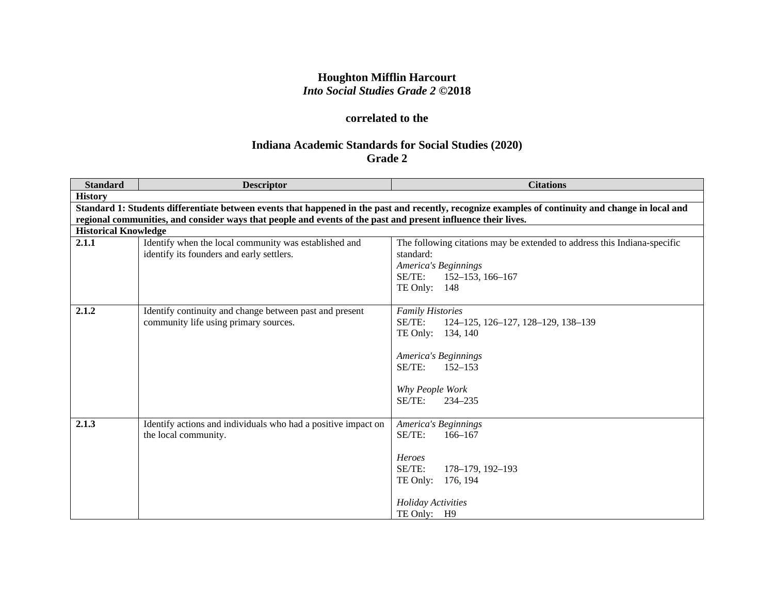# **Houghton Mifflin Harcourt** *Into Social Studies Grade 2* **©2018**

# **correlated to the**

# **Indiana Academic Standards for Social Studies (2020) Grade 2**

| <b>Standard</b>             | <b>Descriptor</b>                                                                                                                                  | <b>Citations</b>                                                         |  |
|-----------------------------|----------------------------------------------------------------------------------------------------------------------------------------------------|--------------------------------------------------------------------------|--|
| <b>History</b>              |                                                                                                                                                    |                                                                          |  |
|                             | Standard 1: Students differentiate between events that happened in the past and recently, recognize examples of continuity and change in local and |                                                                          |  |
|                             | regional communities, and consider ways that people and events of the past and present influence their lives.                                      |                                                                          |  |
| <b>Historical Knowledge</b> |                                                                                                                                                    |                                                                          |  |
| 2.1.1                       | Identify when the local community was established and                                                                                              | The following citations may be extended to address this Indiana-specific |  |
|                             | identify its founders and early settlers.                                                                                                          | standard:                                                                |  |
|                             |                                                                                                                                                    | America's Beginnings                                                     |  |
|                             |                                                                                                                                                    | SE/TE:<br>$152 - 153$ , 166-167                                          |  |
|                             |                                                                                                                                                    | TE Only: 148                                                             |  |
| 2.1.2                       | Identify continuity and change between past and present                                                                                            | <b>Family Histories</b>                                                  |  |
|                             | community life using primary sources.                                                                                                              | SE/TE:<br>124–125, 126–127, 128–129, 138–139                             |  |
|                             |                                                                                                                                                    | TE Only:<br>134, 140                                                     |  |
|                             |                                                                                                                                                    |                                                                          |  |
|                             |                                                                                                                                                    | America's Beginnings                                                     |  |
|                             |                                                                                                                                                    | SE/TE:<br>$152 - 153$                                                    |  |
|                             |                                                                                                                                                    | Why People Work                                                          |  |
|                             |                                                                                                                                                    | SE/TE:<br>$234 - 235$                                                    |  |
|                             |                                                                                                                                                    |                                                                          |  |
| 2.1.3                       | Identify actions and individuals who had a positive impact on                                                                                      | America's Beginnings                                                     |  |
|                             | the local community.                                                                                                                               | SE/TE:<br>$166 - 167$                                                    |  |
|                             |                                                                                                                                                    |                                                                          |  |
|                             |                                                                                                                                                    | <b>Heroes</b>                                                            |  |
|                             |                                                                                                                                                    | SE/TE:<br>178-179, 192-193                                               |  |
|                             |                                                                                                                                                    | TE Only:<br>176, 194                                                     |  |
|                             |                                                                                                                                                    | <b>Holiday Activities</b>                                                |  |
|                             |                                                                                                                                                    | TE Only: H9                                                              |  |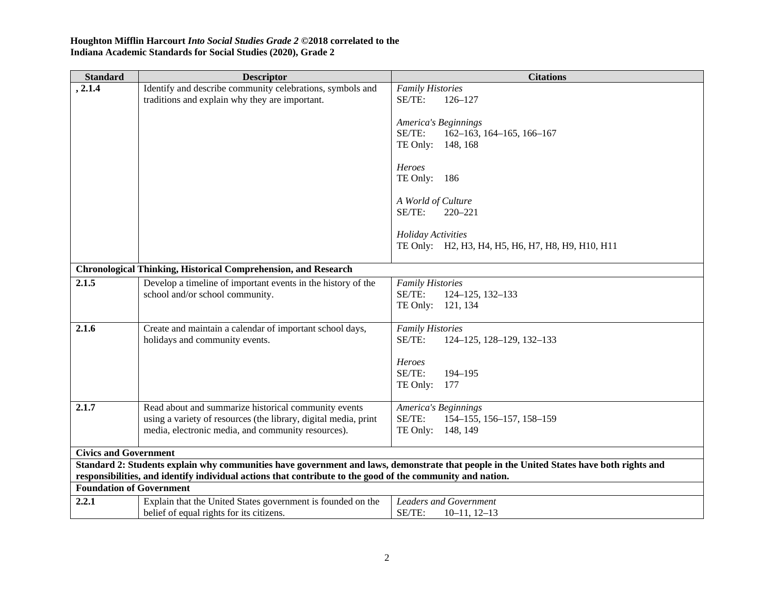| <b>Standard</b>                                                                                                                               | <b>Descriptor</b>                                                     | <b>Citations</b>                                                                                                                         |
|-----------------------------------------------------------------------------------------------------------------------------------------------|-----------------------------------------------------------------------|------------------------------------------------------------------------------------------------------------------------------------------|
| , 2.1.4                                                                                                                                       | Identify and describe community celebrations, symbols and             | <b>Family Histories</b>                                                                                                                  |
|                                                                                                                                               | traditions and explain why they are important.                        | SE/TE:<br>$126 - 127$                                                                                                                    |
|                                                                                                                                               |                                                                       |                                                                                                                                          |
|                                                                                                                                               |                                                                       | America's Beginnings<br>SE/TE:                                                                                                           |
|                                                                                                                                               |                                                                       | $162-163$ , 164-165, 166-167<br>TE Only:<br>148, 168                                                                                     |
|                                                                                                                                               |                                                                       |                                                                                                                                          |
|                                                                                                                                               |                                                                       | Heroes                                                                                                                                   |
|                                                                                                                                               |                                                                       | TE Only: 186                                                                                                                             |
|                                                                                                                                               |                                                                       |                                                                                                                                          |
|                                                                                                                                               |                                                                       | A World of Culture                                                                                                                       |
|                                                                                                                                               |                                                                       | SE/TE:<br>$220 - 221$                                                                                                                    |
|                                                                                                                                               |                                                                       | <b>Holiday Activities</b>                                                                                                                |
|                                                                                                                                               |                                                                       | TE Only: H2, H3, H4, H5, H6, H7, H8, H9, H10, H11                                                                                        |
|                                                                                                                                               |                                                                       |                                                                                                                                          |
|                                                                                                                                               | <b>Chronological Thinking, Historical Comprehension, and Research</b> |                                                                                                                                          |
| 2.1.5                                                                                                                                         | Develop a timeline of important events in the history of the          | <b>Family Histories</b>                                                                                                                  |
|                                                                                                                                               | school and/or school community.                                       | SE/TE:<br>124-125, 132-133                                                                                                               |
|                                                                                                                                               |                                                                       | TE Only: 121, 134                                                                                                                        |
| 2.1.6                                                                                                                                         | Create and maintain a calendar of important school days,              | <b>Family Histories</b>                                                                                                                  |
|                                                                                                                                               | holidays and community events.                                        | SE/TE:<br>124-125, 128-129, 132-133                                                                                                      |
|                                                                                                                                               |                                                                       |                                                                                                                                          |
|                                                                                                                                               |                                                                       | <b>Heroes</b>                                                                                                                            |
|                                                                                                                                               |                                                                       | SE/TE:<br>194-195                                                                                                                        |
|                                                                                                                                               |                                                                       | TE Only: 177                                                                                                                             |
| 2.1.7                                                                                                                                         | Read about and summarize historical community events                  | America's Beginnings                                                                                                                     |
|                                                                                                                                               | using a variety of resources (the library, digital media, print       | SE/TE:<br>154-155, 156-157, 158-159                                                                                                      |
|                                                                                                                                               | media, electronic media, and community resources).                    | TE Only:<br>148, 149                                                                                                                     |
|                                                                                                                                               |                                                                       |                                                                                                                                          |
| <b>Civics and Government</b>                                                                                                                  |                                                                       |                                                                                                                                          |
|                                                                                                                                               |                                                                       | Standard 2: Students explain why communities have government and laws, demonstrate that people in the United States have both rights and |
| responsibilities, and identify individual actions that contribute to the good of the community and nation.<br><b>Foundation of Government</b> |                                                                       |                                                                                                                                          |
|                                                                                                                                               |                                                                       |                                                                                                                                          |
| 2.2.1                                                                                                                                         | Explain that the United States government is founded on the           | <b>Leaders and Government</b>                                                                                                            |
|                                                                                                                                               | belief of equal rights for its citizens.                              | SE/TE:<br>$10-11$ , $12-13$                                                                                                              |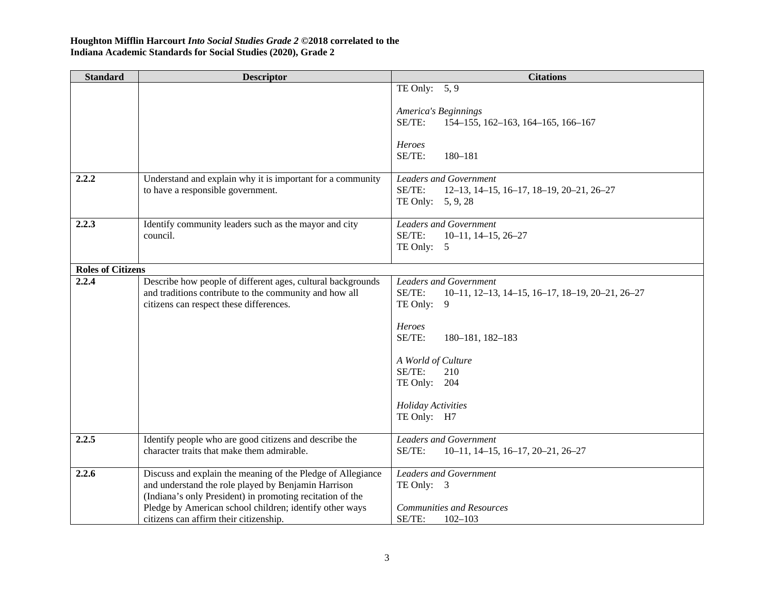| <b>Standard</b>          | <b>Descriptor</b>                                                                                                | <b>Citations</b>                                                                     |
|--------------------------|------------------------------------------------------------------------------------------------------------------|--------------------------------------------------------------------------------------|
|                          |                                                                                                                  | TE Only: $5, 9$                                                                      |
|                          |                                                                                                                  | America's Beginnings                                                                 |
|                          |                                                                                                                  | SE/TE:<br>154-155, 162-163, 164-165, 166-167                                         |
|                          |                                                                                                                  |                                                                                      |
|                          |                                                                                                                  | Heroes<br>SE/TE:<br>180-181                                                          |
|                          |                                                                                                                  |                                                                                      |
| 2.2.2                    | Understand and explain why it is important for a community                                                       | <b>Leaders and Government</b>                                                        |
|                          | to have a responsible government.                                                                                | SE/TE:<br>12-13, 14-15, 16-17, 18-19, 20-21, 26-27<br>TE Only: 5, 9, 28              |
|                          |                                                                                                                  |                                                                                      |
| 2.2.3                    | Identify community leaders such as the mayor and city                                                            | <b>Leaders and Government</b>                                                        |
|                          | council.                                                                                                         | SE/TE:<br>$10-11, 14-15, 26-27$<br>TE Only:<br>5                                     |
|                          |                                                                                                                  |                                                                                      |
| <b>Roles of Citizens</b> |                                                                                                                  |                                                                                      |
| 2.2.4                    | Describe how people of different ages, cultural backgrounds                                                      | <b>Leaders and Government</b><br>SE/TE:                                              |
|                          | and traditions contribute to the community and how all<br>citizens can respect these differences.                | $10-11$ , $12-13$ , $14-15$ , $16-17$ , $18-19$ , $20-21$ , $26-27$<br>TE Only:<br>9 |
|                          |                                                                                                                  |                                                                                      |
|                          |                                                                                                                  | Heroes                                                                               |
|                          |                                                                                                                  | SE/TE:<br>180-181, 182-183                                                           |
|                          |                                                                                                                  | A World of Culture                                                                   |
|                          |                                                                                                                  | SE/TE:<br>210                                                                        |
|                          |                                                                                                                  | TE Only: 204                                                                         |
|                          |                                                                                                                  | <b>Holiday Activities</b>                                                            |
|                          |                                                                                                                  | TE Only: H7                                                                          |
| 2.2.5                    | Identify people who are good citizens and describe the                                                           | <b>Leaders and Government</b>                                                        |
|                          | character traits that make them admirable.                                                                       | SE/TE:<br>$10-11$ , $14-15$ , $16-17$ , $20-21$ , $26-27$                            |
|                          |                                                                                                                  |                                                                                      |
| 2.2.6                    | Discuss and explain the meaning of the Pledge of Allegiance                                                      | <b>Leaders and Government</b>                                                        |
|                          | and understand the role played by Benjamin Harrison<br>(Indiana's only President) in promoting recitation of the | TE Only: 3                                                                           |
|                          | Pledge by American school children; identify other ways                                                          | <b>Communities and Resources</b>                                                     |
|                          | citizens can affirm their citizenship.                                                                           | SE/TE:<br>$102 - 103$                                                                |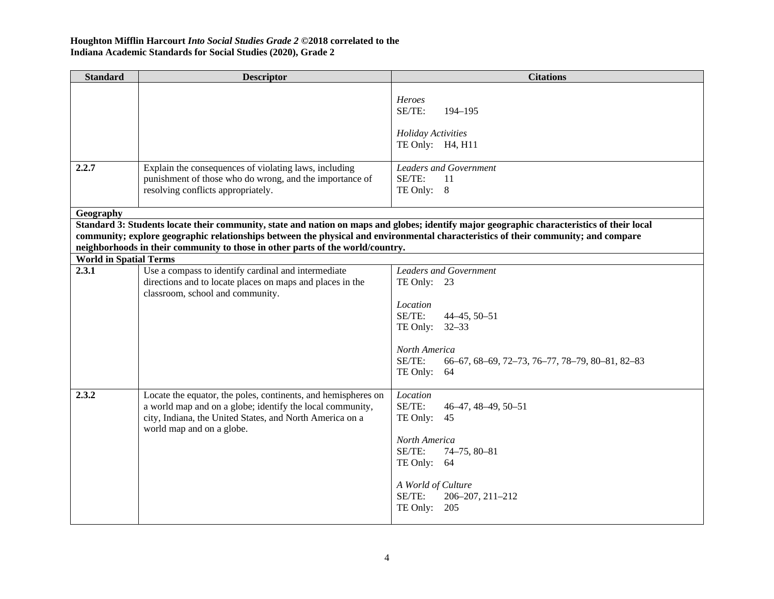| <b>Standard</b>               | <b>Descriptor</b>                                                                                                                                                                                                   | <b>Citations</b>                                                                                                                           |
|-------------------------------|---------------------------------------------------------------------------------------------------------------------------------------------------------------------------------------------------------------------|--------------------------------------------------------------------------------------------------------------------------------------------|
| 2.2.7                         | Explain the consequences of violating laws, including                                                                                                                                                               | Heroes<br>SE/TE:<br>194-195<br><b>Holiday Activities</b><br>TE Only: H4, H11<br><b>Leaders and Government</b>                              |
|                               | punishment of those who do wrong, and the importance of<br>resolving conflicts appropriately.                                                                                                                       | SE/TE:<br>11<br>TE Only: 8                                                                                                                 |
| Geography                     |                                                                                                                                                                                                                     |                                                                                                                                            |
|                               |                                                                                                                                                                                                                     | Standard 3: Students locate their community, state and nation on maps and globes; identify major geographic characteristics of their local |
|                               |                                                                                                                                                                                                                     | community; explore geographic relationships between the physical and environmental characteristics of their community; and compare         |
|                               | neighborhoods in their community to those in other parts of the world/country.                                                                                                                                      |                                                                                                                                            |
| <b>World in Spatial Terms</b> |                                                                                                                                                                                                                     |                                                                                                                                            |
| 2.3.1                         | Use a compass to identify cardinal and intermediate<br>directions and to locate places on maps and places in the<br>classroom, school and community.                                                                | <b>Leaders and Government</b><br>TE Only: 23                                                                                               |
|                               |                                                                                                                                                                                                                     | Location<br>SE/TE:<br>$44 - 45, 50 - 51$<br>TE Only: 32-33                                                                                 |
|                               |                                                                                                                                                                                                                     | North America<br>SE/TE:<br>66-67, 68-69, 72-73, 76-77, 78-79, 80-81, 82-83<br>TE Only: 64                                                  |
| 2.3.2                         | Locate the equator, the poles, continents, and hemispheres on<br>a world map and on a globe; identify the local community,<br>city, Indiana, the United States, and North America on a<br>world map and on a globe. | Location<br>SE/TE:<br>46-47, 48-49, 50-51<br>TE Only:<br>-45<br>North America<br>SE/TE:<br>74-75, 80-81<br>TE Only: 64                     |
|                               |                                                                                                                                                                                                                     | A World of Culture<br>SE/TE:<br>206-207, 211-212<br>TE Only: $205$                                                                         |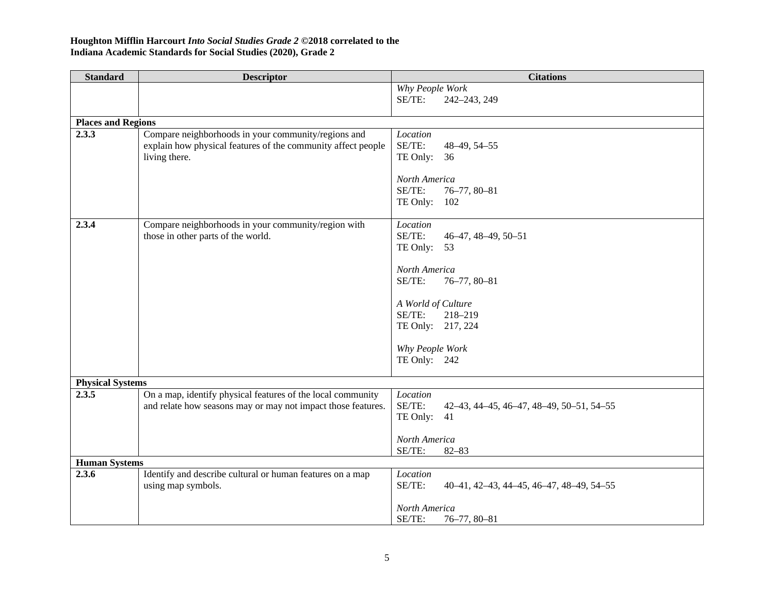| <b>Standard</b>                  | <b>Descriptor</b>                                                                                                           | <b>Citations</b>                                               |
|----------------------------------|-----------------------------------------------------------------------------------------------------------------------------|----------------------------------------------------------------|
|                                  |                                                                                                                             | Why People Work                                                |
|                                  |                                                                                                                             | SE/TE:<br>242-243, 249                                         |
|                                  |                                                                                                                             |                                                                |
| <b>Places and Regions</b>        |                                                                                                                             |                                                                |
| 2.3.3                            | Compare neighborhoods in your community/regions and                                                                         | Location                                                       |
|                                  | explain how physical features of the community affect people                                                                | SE/TE:<br>48-49, 54-55                                         |
|                                  | living there.                                                                                                               | TE Only: 36                                                    |
|                                  |                                                                                                                             | North America                                                  |
|                                  |                                                                                                                             | SE/TE:<br>76-77, 80-81                                         |
|                                  |                                                                                                                             | TE Only:<br>102                                                |
|                                  |                                                                                                                             |                                                                |
| 2.3.4                            | Compare neighborhoods in your community/region with                                                                         | Location                                                       |
|                                  | those in other parts of the world.                                                                                          | SE/TE:<br>46-47, 48-49, 50-51                                  |
|                                  |                                                                                                                             | TE Only: 53                                                    |
|                                  |                                                                                                                             |                                                                |
|                                  |                                                                                                                             | North America<br>SE/TE:                                        |
|                                  |                                                                                                                             | $76 - 77, 80 - 81$                                             |
|                                  |                                                                                                                             | A World of Culture                                             |
|                                  |                                                                                                                             | SE/TE:<br>218-219                                              |
|                                  |                                                                                                                             | TE Only: 217, 224                                              |
|                                  |                                                                                                                             |                                                                |
|                                  |                                                                                                                             | Why People Work                                                |
|                                  |                                                                                                                             | TE Only: 242                                                   |
|                                  |                                                                                                                             |                                                                |
| <b>Physical Systems</b><br>2.3.5 |                                                                                                                             |                                                                |
|                                  | On a map, identify physical features of the local community<br>and relate how seasons may or may not impact those features. | Location<br>SE/TE:<br>42-43, 44-45, 46-47, 48-49, 50-51, 54-55 |
|                                  |                                                                                                                             | TE Only:<br>41                                                 |
|                                  |                                                                                                                             |                                                                |
|                                  |                                                                                                                             | North America                                                  |
|                                  |                                                                                                                             | SE/TE:<br>$82 - 83$                                            |
| <b>Human Systems</b>             |                                                                                                                             |                                                                |
| 2.3.6                            | Identify and describe cultural or human features on a map                                                                   | Location                                                       |
|                                  | using map symbols.                                                                                                          | SE/TE:<br>40-41, 42-43, 44-45, 46-47, 48-49, 54-55             |
|                                  |                                                                                                                             |                                                                |
|                                  |                                                                                                                             | North America                                                  |
|                                  |                                                                                                                             | SE/TE:<br>$76 - 77, 80 - 81$                                   |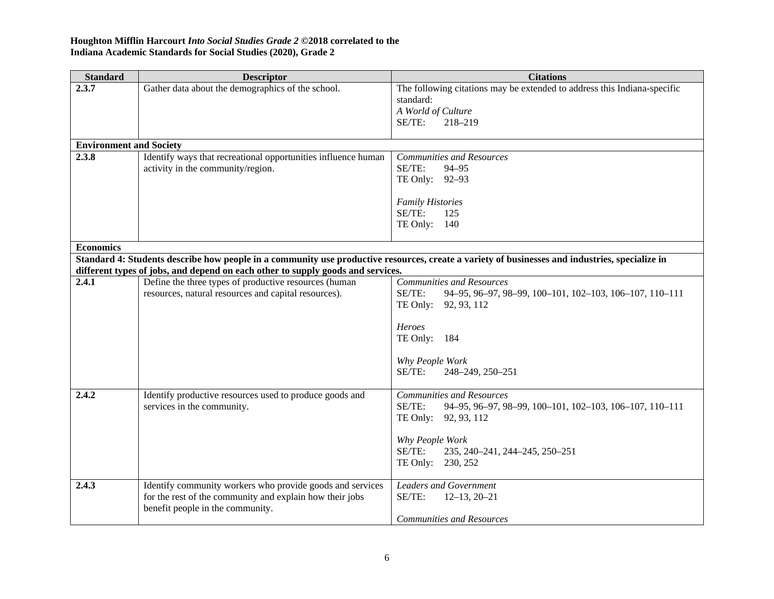| <b>Standard</b>                | <b>Descriptor</b>                                                               | <b>Citations</b>                                                                                                                               |
|--------------------------------|---------------------------------------------------------------------------------|------------------------------------------------------------------------------------------------------------------------------------------------|
| 2.3.7                          | Gather data about the demographics of the school.                               | The following citations may be extended to address this Indiana-specific<br>standard:                                                          |
|                                |                                                                                 | A World of Culture                                                                                                                             |
|                                |                                                                                 | SE/TE:<br>218-219                                                                                                                              |
|                                |                                                                                 |                                                                                                                                                |
| <b>Environment and Society</b> |                                                                                 |                                                                                                                                                |
| 2.3.8                          | Identify ways that recreational opportunities influence human                   | <b>Communities and Resources</b>                                                                                                               |
|                                | activity in the community/region.                                               | SE/TE:<br>94-95                                                                                                                                |
|                                |                                                                                 | TE Only: 92-93                                                                                                                                 |
|                                |                                                                                 |                                                                                                                                                |
|                                |                                                                                 | <b>Family Histories</b><br>SE/TE:<br>125                                                                                                       |
|                                |                                                                                 | TE Only: 140                                                                                                                                   |
|                                |                                                                                 |                                                                                                                                                |
| <b>Economics</b>               |                                                                                 |                                                                                                                                                |
|                                |                                                                                 | Standard 4: Students describe how people in a community use productive resources, create a variety of businesses and industries, specialize in |
|                                | different types of jobs, and depend on each other to supply goods and services. |                                                                                                                                                |
| 2.4.1                          | Define the three types of productive resources (human                           | <b>Communities and Resources</b>                                                                                                               |
|                                | resources, natural resources and capital resources).                            | SE/TE:<br>94-95, 96-97, 98-99, 100-101, 102-103, 106-107, 110-111                                                                              |
|                                |                                                                                 | TE Only: 92, 93, 112                                                                                                                           |
|                                |                                                                                 | Heroes                                                                                                                                         |
|                                |                                                                                 | TE Only: 184                                                                                                                                   |
|                                |                                                                                 |                                                                                                                                                |
|                                |                                                                                 | Why People Work                                                                                                                                |
|                                |                                                                                 | SE/TE:<br>248-249, 250-251                                                                                                                     |
|                                |                                                                                 |                                                                                                                                                |
| 2.4.2                          | Identify productive resources used to produce goods and                         | <b>Communities and Resources</b>                                                                                                               |
|                                | services in the community.                                                      | SE/TE:<br>94-95, 96-97, 98-99, 100-101, 102-103, 106-107, 110-111                                                                              |
|                                |                                                                                 | TE Only: 92, 93, 112                                                                                                                           |
|                                |                                                                                 | Why People Work                                                                                                                                |
|                                |                                                                                 | SE/TE:<br>235, 240-241, 244-245, 250-251                                                                                                       |
|                                |                                                                                 | TE Only: 230, 252                                                                                                                              |
|                                |                                                                                 |                                                                                                                                                |
| 2.4.3                          | Identify community workers who provide goods and services                       | <b>Leaders and Government</b>                                                                                                                  |
|                                | for the rest of the community and explain how their jobs                        | SE/TE:<br>$12-13, 20-21$                                                                                                                       |
|                                | benefit people in the community.                                                |                                                                                                                                                |
|                                |                                                                                 | <b>Communities and Resources</b>                                                                                                               |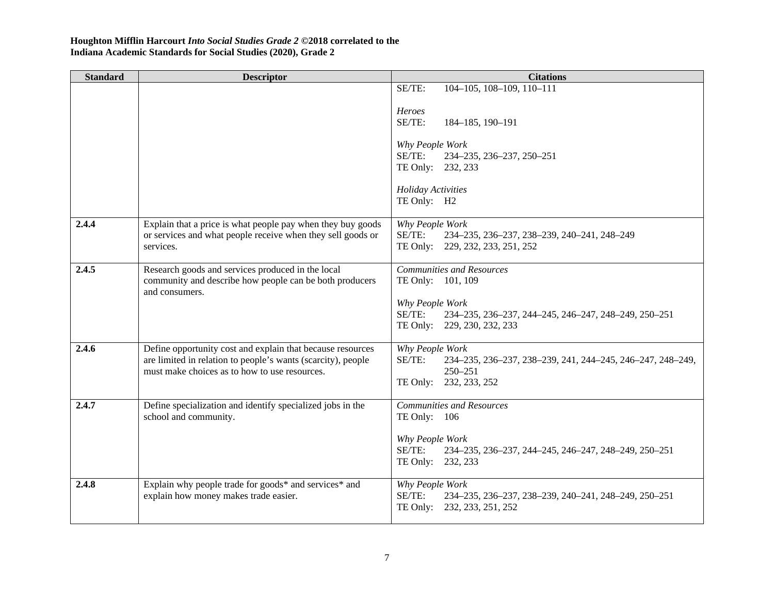| <b>Standard</b> | <b>Descriptor</b>                                                                                                                                                           | <b>Citations</b>                                                                                                                 |
|-----------------|-----------------------------------------------------------------------------------------------------------------------------------------------------------------------------|----------------------------------------------------------------------------------------------------------------------------------|
|                 |                                                                                                                                                                             | 104-105, 108-109, 110-111<br>SE/TE:                                                                                              |
|                 |                                                                                                                                                                             | Heroes<br>SE/TE:<br>184-185, 190-191                                                                                             |
|                 |                                                                                                                                                                             | Why People Work<br>SE/TE:<br>234-235, 236-237, 250-251<br>TE Only: 232, 233                                                      |
|                 |                                                                                                                                                                             | <b>Holiday Activities</b><br>TE Only: H2                                                                                         |
| 2.4.4           | Explain that a price is what people pay when they buy goods<br>or services and what people receive when they sell goods or<br>services.                                     | Why People Work<br>SE/TE:<br>234-235, 236-237, 238-239, 240-241, 248-249<br>TE Only: 229, 232, 233, 251, 252                     |
| 2.4.5           | Research goods and services produced in the local<br>community and describe how people can be both producers<br>and consumers.                                              | Communities and Resources<br>TE Only: 101, 109<br>Why People Work                                                                |
|                 |                                                                                                                                                                             | SE/TE:<br>234-235, 236-237, 244-245, 246-247, 248-249, 250-251<br>TE Only: 229, 230, 232, 233                                    |
| 2.4.6           | Define opportunity cost and explain that because resources<br>are limited in relation to people's wants (scarcity), people<br>must make choices as to how to use resources. | Why People Work<br>SE/TE:<br>234-235, 236-237, 238-239, 241, 244-245, 246-247, 248-249,<br>$250 - 251$<br>TE Only: 232, 233, 252 |
| 2.4.7           | Define specialization and identify specialized jobs in the<br>school and community.                                                                                         | <b>Communities and Resources</b><br>TE Only: 106                                                                                 |
|                 |                                                                                                                                                                             | Why People Work<br>SE/TE:<br>234-235, 236-237, 244-245, 246-247, 248-249, 250-251<br>TE Only: 232, 233                           |
| 2.4.8           | Explain why people trade for goods* and services* and<br>explain how money makes trade easier.                                                                              | Why People Work<br>SE/TE:<br>234-235, 236-237, 238-239, 240-241, 248-249, 250-251<br>TE Only: 232, 233, 251, 252                 |